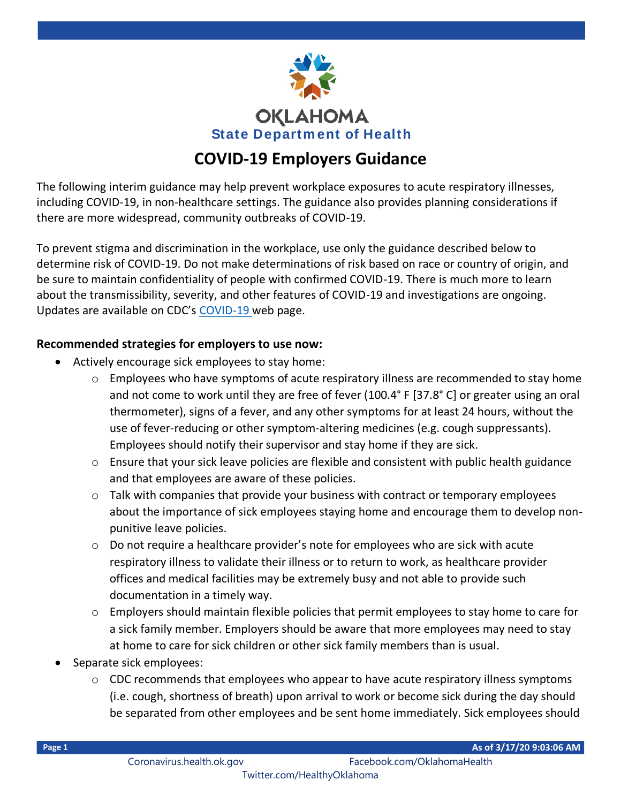

# **COVID-19 Employers Guidance**

The following interim guidance may help prevent workplace exposures to acute respiratory illnesses, including COVID-19, in non-healthcare settings. The guidance also provides planning considerations if there are more widespread, community outbreaks of COVID-19.

To prevent stigma and discrimination in the workplace, use only the guidance described below to determine risk of COVID-19. Do not make determinations of risk based on race or country of origin, and be sure to maintain confidentiality of people with confirmed COVID-19. There is much more to learn about the transmissibility, severity, and other features of COVID-19 and investigations are ongoing. Updates are available on CDC's [COVID-19 w](https://www.cdc.gov/coronavirus/)eb page.

## **Recommended strategies for employers to use now:**

- Actively encourage sick employees to stay home:
	- $\circ$  Employees who have symptoms of acute respiratory illness are recommended to stay home and not come to work until they are free of fever (100.4° F [37.8° C] or greater using an oral thermometer), signs of a fever, and any other symptoms for at least 24 hours, without the use of fever-reducing or other symptom-altering medicines (e.g. cough suppressants). Employees should notify their supervisor and stay home if they are sick.
	- $\circ$  Ensure that your sick leave policies are flexible and consistent with public health guidance and that employees are aware of these policies.
	- $\circ$  Talk with companies that provide your business with contract or temporary employees about the importance of sick employees staying home and encourage them to develop nonpunitive leave policies.
	- $\circ$  Do not require a healthcare provider's note for employees who are sick with acute respiratory illness to validate their illness or to return to work, as healthcare provider offices and medical facilities may be extremely busy and not able to provide such documentation in a timely way.
	- o Employers should maintain flexible policies that permit employees to stay home to care for a sick family member. Employers should be aware that more employees may need to stay at home to care for sick children or other sick family members than is usual.
- Separate sick employees:
	- o CDC recommends that employees who appear to have acute respiratory illness symptoms (i.e. cough, shortness of breath) upon arrival to work or become sick during the day should be separated from other employees and be sent home immediately. Sick employees should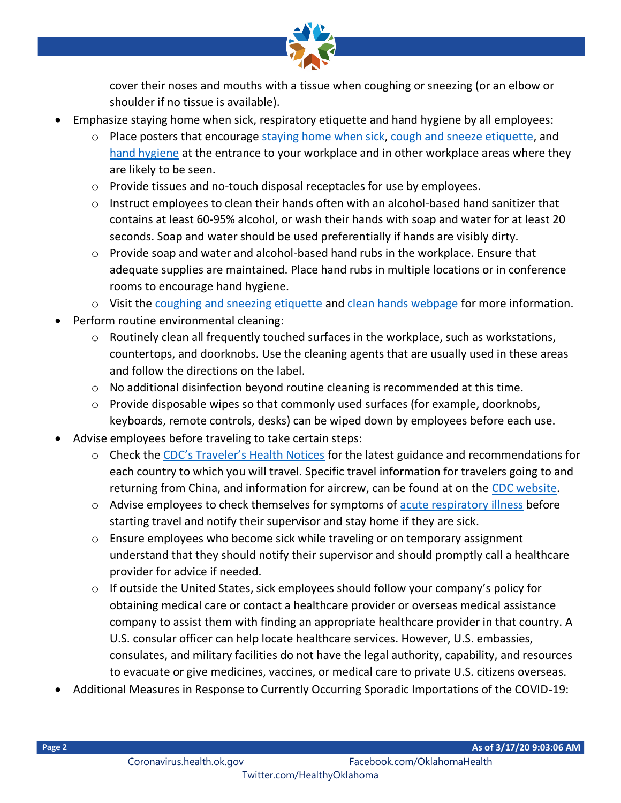

cover their noses and mouths with a tissue when coughing or sneezing (or an elbow or shoulder if no tissue is available).

- Emphasize staying home when sick, respiratory etiquette and hand hygiene by all employees:
	- o Place posters that encourage [staying home when sick,](https://www.cdc.gov/nonpharmaceutical-interventions/tools-resources/educational-materials.html) [cough and sneeze etiquette,](https://www.cdc.gov/healthywater/hygiene/etiquette/coughing_sneezing.html) and [hand hygiene](https://www.cdc.gov/handwashing/materials.html) at the entrance to your workplace and in other workplace areas where they are likely to be seen.
	- o Provide tissues and no-touch disposal receptacles for use by employees.
	- $\circ$  Instruct employees to clean their hands often with an alcohol-based hand sanitizer that contains at least 60-95% alcohol, or wash their hands with soap and water for at least 20 seconds. Soap and water should be used preferentially if hands are visibly dirty.
	- o Provide soap and water and alcohol-based hand rubs in the workplace. Ensure that adequate supplies are maintained. Place hand rubs in multiple locations or in conference rooms to encourage hand hygiene.
	- o Visit th[e coughing and sneezing etiquette a](https://www.cdc.gov/healthywater/hygiene/etiquette/coughing_sneezing.html)n[d clean hands webpage](https://www.cdc.gov/handwashing/index.html) for more information.
- Perform routine environmental cleaning:
	- $\circ$  Routinely clean all frequently touched surfaces in the workplace, such as workstations, countertops, and doorknobs. Use the cleaning agents that are usually used in these areas and follow the directions on the label.
	- o No additional disinfection beyond routine cleaning is recommended at this time.
	- o Provide disposable wipes so that commonly used surfaces (for example, doorknobs, keyboards, remote controls, desks) can be wiped down by employees before each use.
- Advise employees before traveling to take certain steps:
	- o Check the [CDC's Traveler's Health Notices](https://www.cdc.gov/travel) for the latest guidance and recommendations for each country to which you will travel. Specific travel information for travelers going to and returning from China, and information for aircrew, can be found at on the [CDC website.](https://www.cdc.gov/coronavirus/2019-ncov/travelers/index.html)
	- o Advise employees to check themselves for symptoms of [acute respiratory illness](https://www.cdc.gov/coronavirus/2019-ncov/about/symptoms.html) before starting travel and notify their supervisor and stay home if they are sick.
	- o Ensure employees who become sick while traveling or on temporary assignment understand that they should notify their supervisor and should promptly call a healthcare provider for advice if needed.
	- o If outside the United States, sick employees should follow your company's policy for obtaining medical care or contact a healthcare provider or overseas medical assistance company to assist them with finding an appropriate healthcare provider in that country. A U.S. consular officer can help locate healthcare services. However, U.S. embassies, consulates, and military facilities do not have the legal authority, capability, and resources to evacuate or give medicines, vaccines, or medical care to private U.S. citizens overseas.
- Additional Measures in Response to Currently Occurring Sporadic Importations of the COVID-19: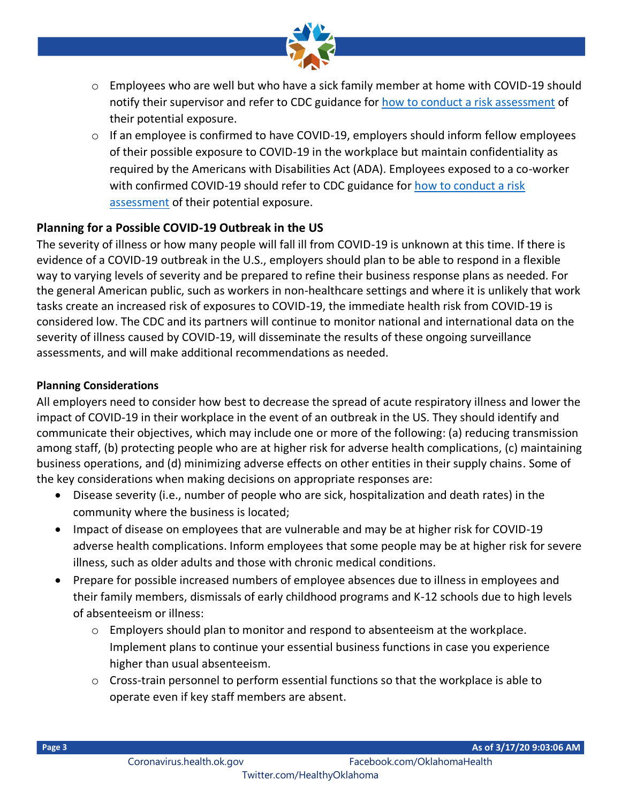

- $\circ$  Employees who are well but who have a sick family member at home with COVID-19 should notify their supervisor and refer to CDC guidance for [how to conduct a risk assessment](https://www.cdc.gov/coronavirus/2019-ncov/php/risk-assessment.html) of their potential exposure.
- o If an employee is confirmed to have COVID-19, employers should inform fellow employees of their possible exposure to COVID-19 in the workplace but maintain confidentiality as required by the Americans with Disabilities Act (ADA). Employees exposed to a co-worker with confirmed COVID-19 should refer to CDC guidance for [how to conduct a risk](https://www.cdc.gov/coronavirus/2019-ncov/php/risk-assessment.html)  [assessment](https://www.cdc.gov/coronavirus/2019-ncov/php/risk-assessment.html) of their potential exposure.

# **Planning for a Possible COVID-19 Outbreak in the US**

The severity of illness or how many people will fall ill from COVID-19 is unknown at this time. If there is evidence of a COVID-19 outbreak in the U.S., employers should plan to be able to respond in a flexible way to varying levels of severity and be prepared to refine their business response plans as needed. For the general American public, such as workers in non-healthcare settings and where it is unlikely that work tasks create an increased risk of exposures to COVID-19, the immediate health risk from COVID-19 is considered low. The CDC and its partners will continue to monitor national and international data on the severity of illness caused by COVID-19, will disseminate the results of these ongoing surveillance assessments, and will make additional recommendations as needed.

#### **Planning Considerations**

All employers need to consider how best to decrease the spread of acute respiratory illness and lower the impact of COVID-19 in their workplace in the event of an outbreak in the US. They should identify and communicate their objectives, which may include one or more of the following: (a) reducing transmission among staff, (b) protecting people who are at higher risk for adverse health complications, (c) maintaining business operations, and (d) minimizing adverse effects on other entities in their supply chains. Some of the key considerations when making decisions on appropriate responses are:

- Disease severity (i.e., number of people who are sick, hospitalization and death rates) in the community where the business is located;
- Impact of disease on employees that are vulnerable and may be at higher risk for COVID-19 adverse health complications. Inform employees that some people may be at higher risk for severe illness, such as older adults and those with chronic medical conditions.
- Prepare for possible increased numbers of employee absences due to illness in employees and their family members, dismissals of early childhood programs and K-12 schools due to high levels of absenteeism or illness:
	- o Employers should plan to monitor and respond to absenteeism at the workplace. Implement plans to continue your essential business functions in case you experience higher than usual absenteeism.
	- o Cross-train personnel to perform essential functions so that the workplace is able to operate even if key staff members are absent.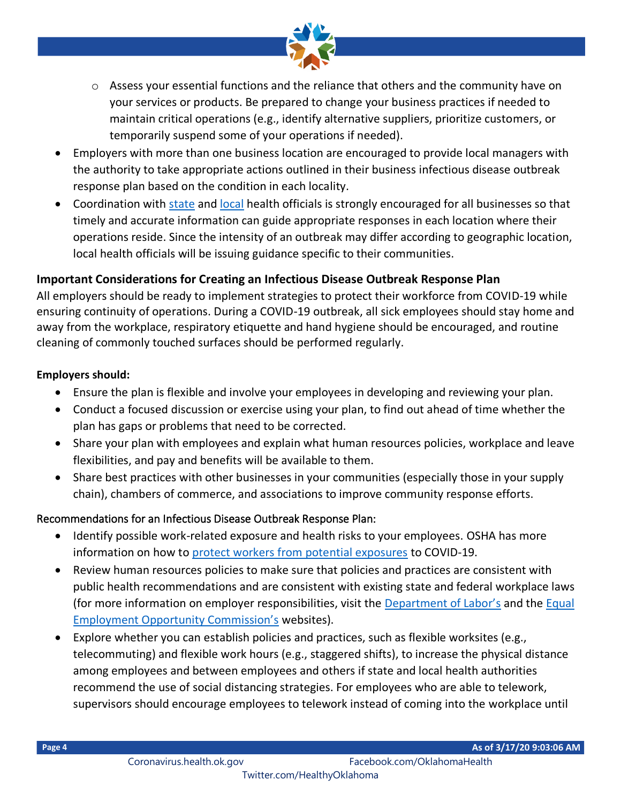

- o Assess your essential functions and the reliance that others and the community have on your services or products. Be prepared to change your business practices if needed to maintain critical operations (e.g., identify alternative suppliers, prioritize customers, or temporarily suspend some of your operations if needed).
- Employers with more than one business location are encouraged to provide local managers with the authority to take appropriate actions outlined in their business infectious disease outbreak response plan based on the condition in each locality.
- Coordination with [state](https://www.cste.org/page/EpiOnCall) and [local](https://www.naccho.org/membership/lhd-directory) health officials is strongly encouraged for all businesses so that timely and accurate information can guide appropriate responses in each location where their operations reside. Since the intensity of an outbreak may differ according to geographic location, local health officials will be issuing guidance specific to their communities.

# **Important Considerations for Creating an Infectious Disease Outbreak Response Plan**

All employers should be ready to implement strategies to protect their workforce from COVID-19 while ensuring continuity of operations. During a COVID-19 outbreak, all sick employees should stay home and away from the workplace, respiratory etiquette and hand hygiene should be encouraged, and routine cleaning of commonly touched surfaces should be performed regularly.

## **Employers should:**

- Ensure the plan is flexible and involve your employees in developing and reviewing your plan.
- Conduct a focused discussion or exercise using your plan, to find out ahead of time whether the plan has gaps or problems that need to be corrected.
- Share your plan with employees and explain what human resources policies, workplace and leave flexibilities, and pay and benefits will be available to them.
- Share best practices with other businesses in your communities (especially those in your supply chain), chambers of commerce, and associations to improve community response efforts.

# Recommendations for an Infectious Disease Outbreak Response Plan:

- Identify possible work-related exposure and health risks to your employees. OSHA has more information on how to [protect workers from potential exposures](https://www.osha.gov/SLTC/novel_coronavirus/index.html) to COVID-19.
- Review human resources policies to make sure that policies and practices are consistent with public health recommendations and are consistent with existing state and federal workplace laws (for more information on employer responsibilities, visit the [Department of Labor's](http://www.dol.gov/) and the [Equal](http://www.eeoc.gov/)  [Employment Opportunity Commission's](http://www.eeoc.gov/) websites).
- Explore whether you can establish policies and practices, such as flexible worksites (e.g., telecommuting) and flexible work hours (e.g., staggered shifts), to increase the physical distance among employees and between employees and others if state and local health authorities recommend the use of social distancing strategies. For employees who are able to telework, supervisors should encourage employees to telework instead of coming into the workplace until